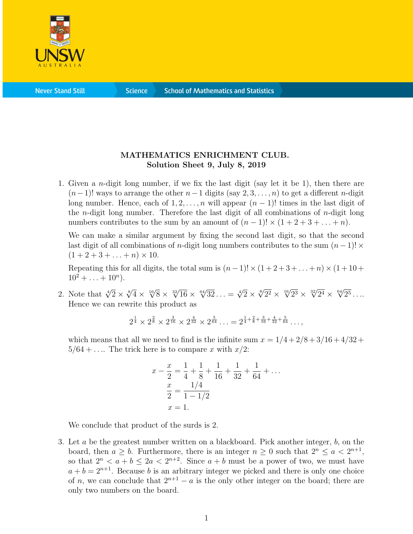

## MATHEMATICS ENRICHMENT CLUB. Solution Sheet 9, July 8, 2019

1. Given a n-digit long number, if we fix the last digit (say let it be 1), then there are  $(n-1)!$  ways to arrange the other  $n-1$  digits (say 2, 3, . . . , n) to get a different n-digit long number. Hence, each of  $1, 2, \ldots, n$  will appear  $(n - 1)!$  times in the last digit of the *n*-digit long number. Therefore the last digit of all combinations of *n*-digit long numbers contributes to the sum by an amount of  $(n-1)! \times (1+2+3+\ldots+n)$ .

We can make a similar argument by fixing the second last digit, so that the second last digit of all combinations of n-digit long numbers contributes to the sum  $(n-1)! \times$  $(1 + 2 + 3 + \ldots + n) \times 10$ .

Repeating this for all digits, the total sum is  $(n-1)! \times (1+2+3+\ldots+n) \times (1+10+$  $10^2 + \ldots + 10^n$ ).

2. Note that  $\sqrt[4]{2} \times \sqrt[8]{4} \times \sqrt[16]{8} \times \sqrt[32]{16} \times \sqrt[64]{32} \dots = \sqrt[4]{2} \times \sqrt[8]{2^2} \times \sqrt[16]{2^3} \times \sqrt[32]{2^4} \times \sqrt[64]{2^5} \dots$ Hence we can rewrite this product as

$$
2^{\frac{1}{4}} \times 2^{\frac{2}{8}} \times 2^{\frac{3}{16}} \times 2^{\frac{4}{32}} \times 2^{\frac{5}{64}} \dots = 2^{\frac{1}{4} + \frac{2}{8} + \frac{3}{16} + \frac{4}{32} + \frac{5}{64}} \dots,
$$

which means that all we need to find is the infinite sum  $x = 1/4 + 2/8 + 3/16 + 4/32 +$  $5/64 + \ldots$  The trick here is to compare x with  $x/2$ :

$$
x - \frac{x}{2} = \frac{1}{4} + \frac{1}{8} + \frac{1}{16} + \frac{1}{32} + \frac{1}{64} + \dots
$$
  

$$
\frac{x}{2} = \frac{1/4}{1 - 1/2}
$$
  

$$
x = 1.
$$

We conclude that product of the surds is 2.

3. Let a be the greatest number written on a blackboard. Pick another integer, b, on the board, then  $a \geq b$ . Furthermore, there is an integer  $n \geq 0$  such that  $2^n \leq a < 2^{n+1}$ , so that  $2^n < a + b \le 2a < 2^{n+2}$ . Since  $a + b$  must be a power of two, we must have  $a + b = 2^{n+1}$ . Because b is an arbitrary integer we picked and there is only one choice of n, we can conclude that  $2^{n+1} - a$  is the only other integer on the board; there are only two numbers on the board.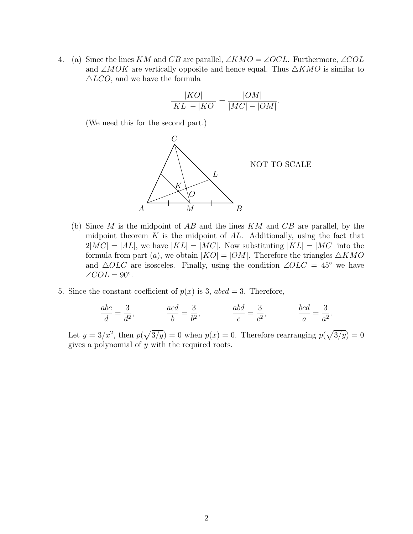4. (a) Since the lines KM and CB are parallel,  $\angle KMO = \angle OCL$ . Furthermore,  $\angle COL$ and ∠MOK are vertically opposite and hence equal. Thus  $\triangle KMO$  is similar to  $\triangle LCO$ , and we have the formula

$$
\frac{|KO|}{|KL| - |KO|} = \frac{|OM|}{|MC| - |OM|}.
$$

(We need this for the second part.)



- (b) Since  $M$  is the midpoint of  $AB$  and the lines  $KM$  and  $CB$  are parallel, by the midpoint theorem  $K$  is the midpoint of  $AL$ . Additionally, using the fact that  $2|MC| = |AL|$ , we have  $|KL| = |MC|$ . Now substituting  $|KL| = |MC|$  into the formula from part (a), we obtain  $|KO| = |OM|$ . Therefore the triangles  $\triangle KMO$ and  $\triangle OLC$  are isosceles. Finally, using the condition  $\angle OLC = 45^{\circ}$  we have  $\angle COL = 90^\circ.$
- 5. Since the constant coefficient of  $p(x)$  is 3,  $abcd = 3$ . Therefore,

$$
\frac{abc}{d} = \frac{3}{d^2}, \qquad \frac{acd}{b} = \frac{3}{b^2}, \qquad \frac{abd}{c} = \frac{3}{c^2}, \qquad \frac{bcd}{a} = \frac{3}{a^2}.
$$

Let  $y = 3/x^2$ , then  $p(\sqrt{3/y}) = 0$  when  $p(x) = 0$ . Therefore rearranging  $p(\sqrt{3/y}) = 0$ gives a polynomial of y with the required roots.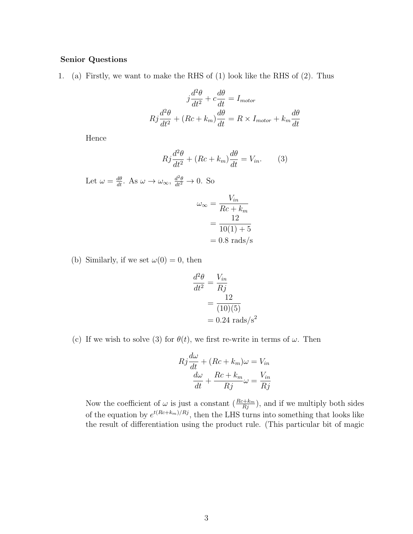## Senior Questions

1. (a) Firstly, we want to make the RHS of (1) look like the RHS of (2). Thus

$$
j\frac{d^2\theta}{dt^2} + c\frac{d\theta}{dt} = I_{motor}
$$

$$
Rj\frac{d^2\theta}{dt^2} + (Rc + k_m)\frac{d\theta}{dt} = R \times I_{motor} + k_m\frac{d\theta}{dt}
$$

Hence

$$
Rj\frac{d^2\theta}{dt^2} + (Rc + k_m)\frac{d\theta}{dt} = V_{in}.
$$
 (3)

Let 
$$
\omega = \frac{d\theta}{dt}
$$
. As  $\omega \to \omega_{\infty}$ ,  $\frac{d^2\theta}{dt^2} \to 0$ . So  

$$
\omega_{\infty} = \frac{V_{in}}{Rc + k_m}
$$

$$
= \frac{12}{10(1) + 5}
$$

$$
= 0.8 \text{ rads/s}
$$

(b) Similarly, if we set  $\omega(0) = 0$ , then

$$
\frac{d^2\theta}{dt^2} = \frac{V_{in}}{Rj}
$$

$$
= \frac{12}{(10)(5)}
$$

$$
= 0.24 \text{ rads/s}^2
$$

(c) If we wish to solve (3) for  $\theta(t)$ , we first re-write in terms of  $\omega$ . Then

$$
Rj\frac{d\omega}{dt} + (Rc + k_m)\omega = V_{in}
$$

$$
\frac{d\omega}{dt} + \frac{Rc + k_m}{Rj}\omega = \frac{V_{in}}{Rj}
$$

Now the coefficient of  $\omega$  is just a constant  $(\frac{Rc+k_m}{Rj})$ , and if we multiply both sides of the equation by  $e^{t(Re+k_m)/R_j}$ , then the LHS turns into something that looks like the result of differentiation using the product rule. (This particular bit of magic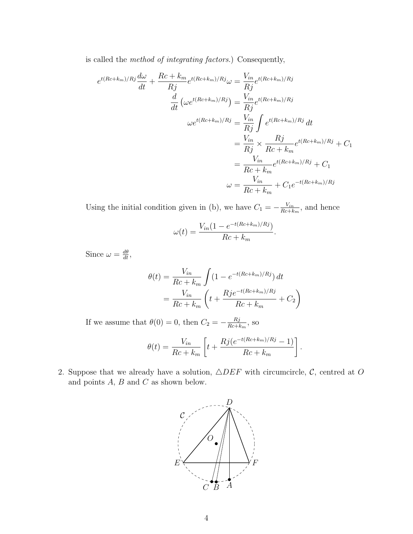is called the method of integrating factors.) Consequently,

$$
e^{t(Rc+k_m)/Rj}\frac{d\omega}{dt} + \frac{Rc+k_m}{Rj}e^{t(Rc+k_m)/Rj}\omega = \frac{V_{in}}{Rj}e^{t(Rc+k_m)/Rj}
$$

$$
\frac{d}{dt}\left(\omega e^{t(Rc+k_m)/Rj}\right) = \frac{V_{in}}{Rj}e^{t(Rc+k_m)/Rj}
$$

$$
\omega e^{t(Rc+k_m)/Rj} = \frac{V_{in}}{Rj}\int e^{t(Rc+k_m)/Rj}dt
$$

$$
= \frac{V_{in}}{Rj} \times \frac{Rj}{Rc+k_m}e^{t(Rc+k_m)/Rj} + C_1
$$

$$
= \frac{V_{in}}{Rc+k_m}e^{t(Rc+k_m)/Rj} + C_1
$$

$$
\omega = \frac{V_{in}}{Rc+k_m} + C_1e^{-t(Rc+k_m)/Rj}
$$

Using the initial condition given in (b), we have  $C_1 = -\frac{V_{in}}{Bc + k}$  $\frac{V_{in}}{Rc+k_m}$ , and hence

$$
\omega(t) = \frac{V_{in}(1 - e^{-t(Rc + k_m)/Rj})}{Rc + k_m}.
$$

Since  $\omega = \frac{d\theta}{dt}$ ,

$$
\theta(t) = \frac{V_{in}}{Rc + k_m} \int (1 - e^{-t(Rc + k_m)/Rj}) dt
$$

$$
= \frac{V_{in}}{Rc + k_m} \left( t + \frac{Rje^{-t(Rc + k_m)/Rj}}{Rc + k_m} + C_2 \right)
$$

If we assume that  $\theta(0) = 0$ , then  $C_2 = -\frac{Rj}{BC+L}$  $\frac{Rj}{Rc+k_m}$ , so

$$
\theta(t) = \frac{V_{in}}{Rc + k_m} \left[ t + \frac{Rj(e^{-t(Rc + k_m)/Rj} - 1)}{Rc + k_m} \right].
$$

2. Suppose that we already have a solution,  $\triangle DEF$  with circumcircle,  $\mathcal{C}$ , centred at O and points  $A, B$  and  $C$  as shown below.